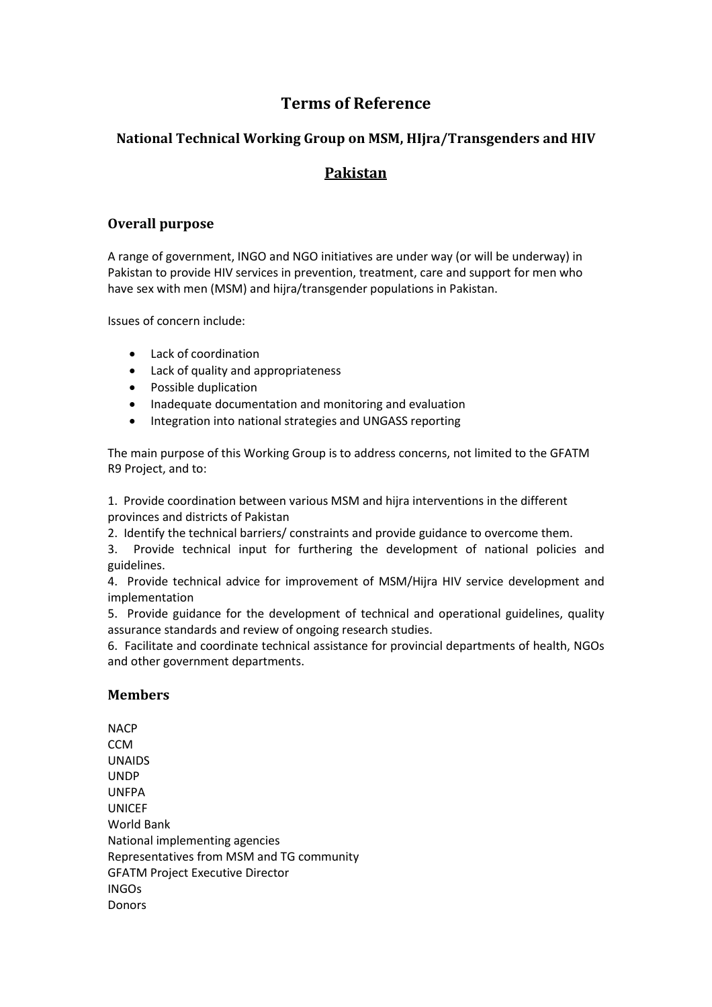# **Terms of Reference**

### **National Technical Working Group on MSM, HIjra/Transgenders and HIV**

## **Pakistan**

#### **Overall purpose**

A range of government, INGO and NGO initiatives are under way (or will be underway) in Pakistan to provide HIV services in prevention, treatment, care and support for men who have sex with men (MSM) and hijra/transgender populations in Pakistan.

Issues of concern include:

- Lack of coordination
- Lack of quality and appropriateness
- Possible duplication
- Inadequate documentation and monitoring and evaluation
- Integration into national strategies and UNGASS reporting

The main purpose of this Working Group is to address concerns, not limited to the GFATM R9 Project, and to:

1. Provide coordination between various MSM and hijra interventions in the different provinces and districts of Pakistan

2. Identify the technical barriers/ constraints and provide guidance to overcome them.

3. Provide technical input for furthering the development of national policies and guidelines.

4. Provide technical advice for improvement of MSM/Hijra HIV service development and implementation

5. Provide guidance for the development of technical and operational guidelines, quality assurance standards and review of ongoing research studies.

6. Facilitate and coordinate technical assistance for provincial departments of health, NGOs and other government departments.

#### **Members**

**NACP CCM** UNAIDS UNDP UNFPA UNICEF World Bank National implementing agencies Representatives from MSM and TG community GFATM Project Executive Director INGOs Donors